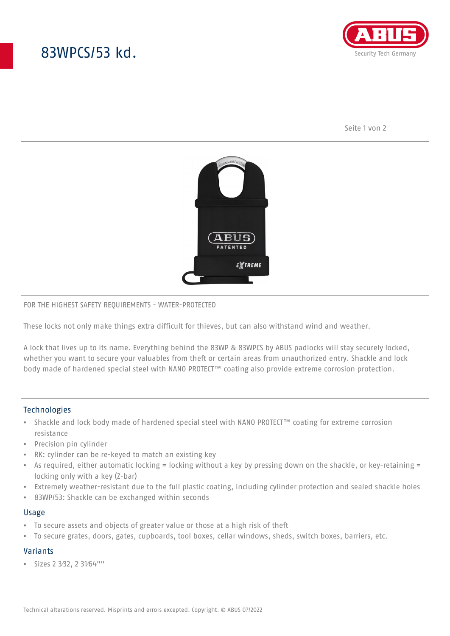# 83WPCS/53 kd.



Seite 1 von 2



### FOR THE HIGHEST SAFETY REQUIREMENTS - WATER-PROTECTED

These locks not only make things extra difficult for thieves, but can also withstand wind and weather.

A lock that lives up to its name. Everything behind the 83WP & 83WPCS by ABUS padlocks will stay securely locked, whether you want to secure your valuables from theft or certain areas from unauthorized entry. Shackle and lock body made of hardened special steel with NANO PROTECT™ coating also provide extreme corrosion protection.

# **Technologies**

- Shackle and lock body made of hardened special steel with NANO PROTECT™ coating for extreme corrosion resistance
- Precision pin cylinder
- RK: cylinder can be re-keyed to match an existing key
- As required, either automatic locking = locking without a key by pressing down on the shackle, or key-retaining = locking only with a key (Z-bar)
- Extremely weather-resistant due to the full plastic coating, including cylinder protection and sealed shackle holes
- 83WP/53: Shackle can be exchanged within seconds

### Usage

- To secure assets and objects of greater value or those at a high risk of theft
- To secure grates, doors, gates, cupboards, tool boxes, cellar windows, sheds, switch boxes, barriers, etc.

# Variants

• Sizes 2 3⁄32, 2 31⁄64""